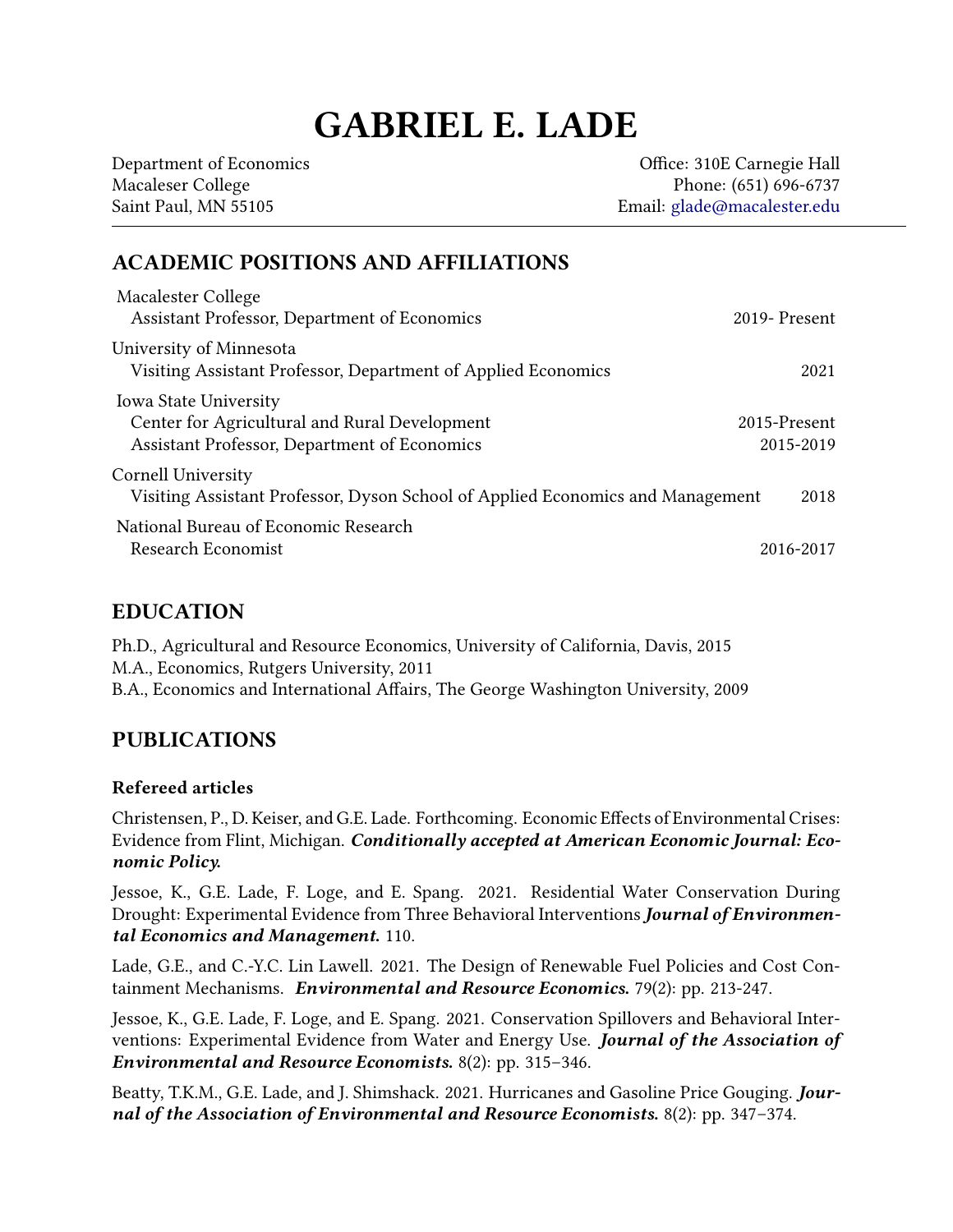# GABRIEL E. LADE

Department of Economics and Communication of Economics and Communication of Economics and Communication of Economics and Communication of Economics and Communication of Economics and Communication of Economics and Communic Macaleser College Phone: (651) 696-6737 Saint Paul, MN 55105 Email: [glade@macalester.edu](mailto:glade@macalster.edu)

## ACADEMIC POSITIONS AND AFFILIATIONS

| Macalester College<br>Assistant Professor, Department of Economics                                                            | 2019-Present              |
|-------------------------------------------------------------------------------------------------------------------------------|---------------------------|
| University of Minnesota<br>Visiting Assistant Professor, Department of Applied Economics                                      | 2021                      |
| <b>Iowa State University</b><br>Center for Agricultural and Rural Development<br>Assistant Professor, Department of Economics | 2015-Present<br>2015-2019 |
| Cornell University<br>Visiting Assistant Professor, Dyson School of Applied Economics and Management                          | 2018                      |
| National Bureau of Economic Research<br>Research Economist                                                                    | 2016-2017                 |

#### EDUCATION

Ph.D., Agricultural and Resource Economics, University of California, Davis, 2015 M.A., Economics, Rutgers University, 2011 B.A., Economics and International Affairs, The George Washington University, 2009

## PUBLICATIONS

#### Refereed articles

Christensen, P., D. Keiser, and G.E. Lade. Forthcoming. Economic Effects of Environmental Crises: Evidence from Flint, Michigan. Conditionally accepted at American Economic Journal: Economic Policy.

Jessoe, K., G.E. Lade, F. Loge, and E. Spang. 2021. Residential Water Conservation During Drought: Experimental Evidence from Three Behavioral Interventions Journal of Environmental Economics and Management. 110.

Lade, G.E., and C.-Y.C. Lin Lawell. 2021. The Design of Renewable Fuel Policies and Cost Containment Mechanisms. Environmental and Resource Economics. 79(2): pp. 213-247.

Jessoe, K., G.E. Lade, F. Loge, and E. Spang. 2021. Conservation Spillovers and Behavioral Interventions: Experimental Evidence from Water and Energy Use. Journal of the Association of Environmental and Resource Economists. 8(2): pp. 315–346.

Beatty, T.K.M., G.E. Lade, and J. Shimshack. 2021. Hurricanes and Gasoline Price Gouging. Journal of the Association of Environmental and Resource Economists. 8(2): pp. 347-374.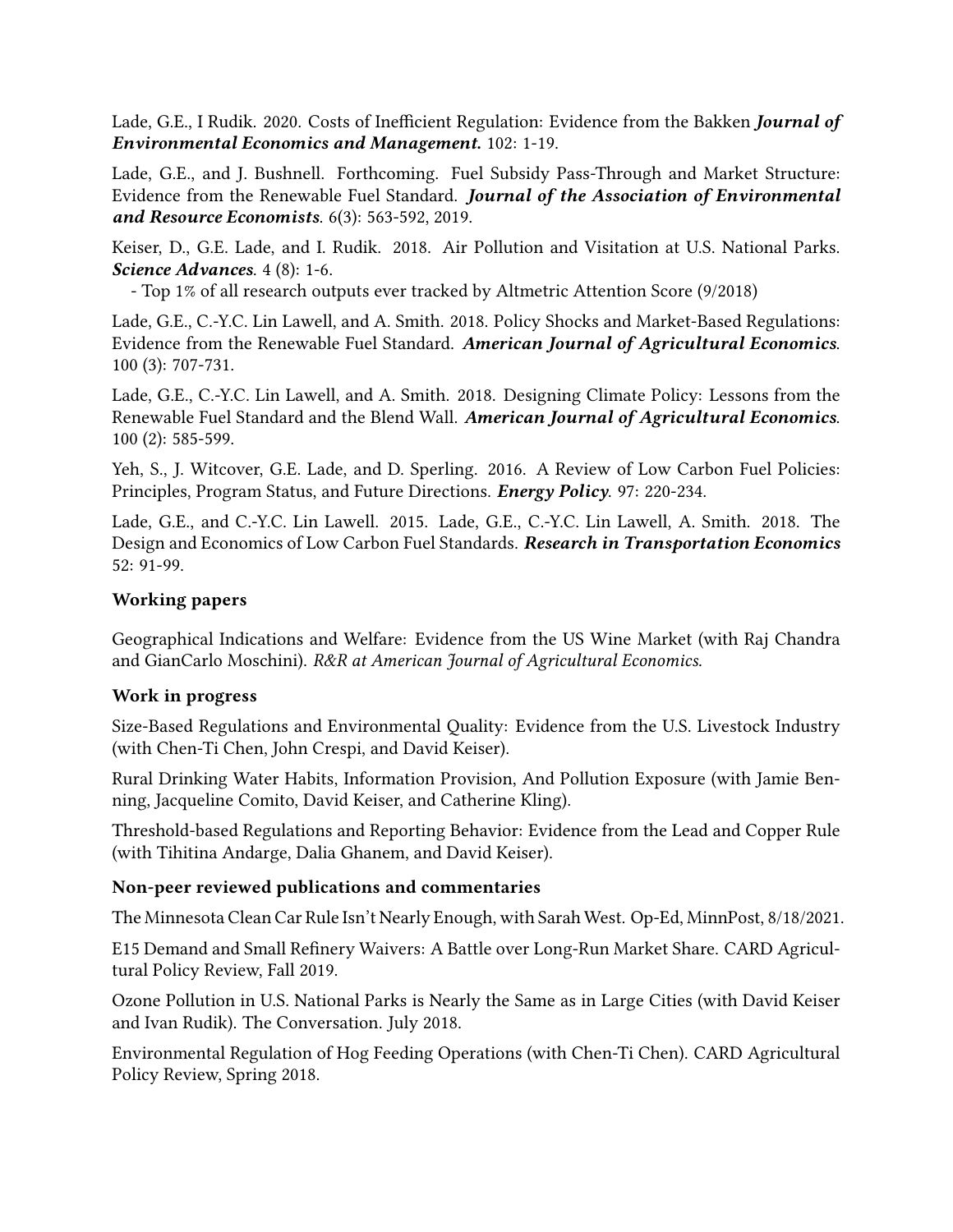Lade, G.E., I Rudik. 2020. Costs of Inefficient Regulation: Evidence from the Bakken Journal of Environmental Economics and Management. 102: 1-19.

Lade, G.E., and J. Bushnell. Forthcoming. Fuel Subsidy Pass-Through and Market Structure: Evidence from the Renewable Fuel Standard. Journal of the Association of Environmental and Resource Economists. 6(3): 563-592, 2019.

Keiser, D., G.E. Lade, and I. Rudik. 2018. Air Pollution and Visitation at U.S. National Parks. Science Advances. 4 (8): 1-6.

- Top 1% of all research outputs ever tracked by Altmetric Attention Score (9/2018)

Lade, G.E., C.-Y.C. Lin Lawell, and A. Smith. 2018. Policy Shocks and Market-Based Regulations: Evidence from the Renewable Fuel Standard. American Journal of Agricultural Economics. 100 (3): 707-731.

Lade, G.E., C.-Y.C. Lin Lawell, and A. Smith. 2018. Designing Climate Policy: Lessons from the Renewable Fuel Standard and the Blend Wall. American Journal of Agricultural Economics. 100 (2): 585-599.

Yeh, S., J. Witcover, G.E. Lade, and D. Sperling. 2016. A Review of Low Carbon Fuel Policies: Principles, Program Status, and Future Directions. *Energy Policy.* 97: 220-234.

Lade, G.E., and C.-Y.C. Lin Lawell. 2015. Lade, G.E., C.-Y.C. Lin Lawell, A. Smith. 2018. The Design and Economics of Low Carbon Fuel Standards. Research in Transportation Economics 52: 91-99.

#### Working papers

Geographical Indications and Welfare: Evidence from the US Wine Market (with Raj Chandra and GianCarlo Moschini). R&R at American Journal of Agricultural Economics.

#### Work in progress

Size-Based Regulations and Environmental Quality: Evidence from the U.S. Livestock Industry (with Chen-Ti Chen, John Crespi, and David Keiser).

Rural Drinking Water Habits, Information Provision, And Pollution Exposure (with Jamie Benning, Jacqueline Comito, David Keiser, and Catherine Kling).

Threshold-based Regulations and Reporting Behavior: Evidence from the Lead and Copper Rule (with Tihitina Andarge, Dalia Ghanem, and David Keiser).

#### Non-peer reviewed publications and commentaries

The Minnesota Clean Car Rule Isn't Nearly Enough, with Sarah West. Op-Ed, MinnPost, 8/18/2021.

E15 Demand and Small Refinery Waivers: A Battle over Long-Run Market Share. CARD Agricultural Policy Review, Fall 2019.

Ozone Pollution in U.S. National Parks is Nearly the Same as in Large Cities (with David Keiser and Ivan Rudik). The Conversation. July 2018.

Environmental Regulation of Hog Feeding Operations (with Chen-Ti Chen). CARD Agricultural Policy Review, Spring 2018.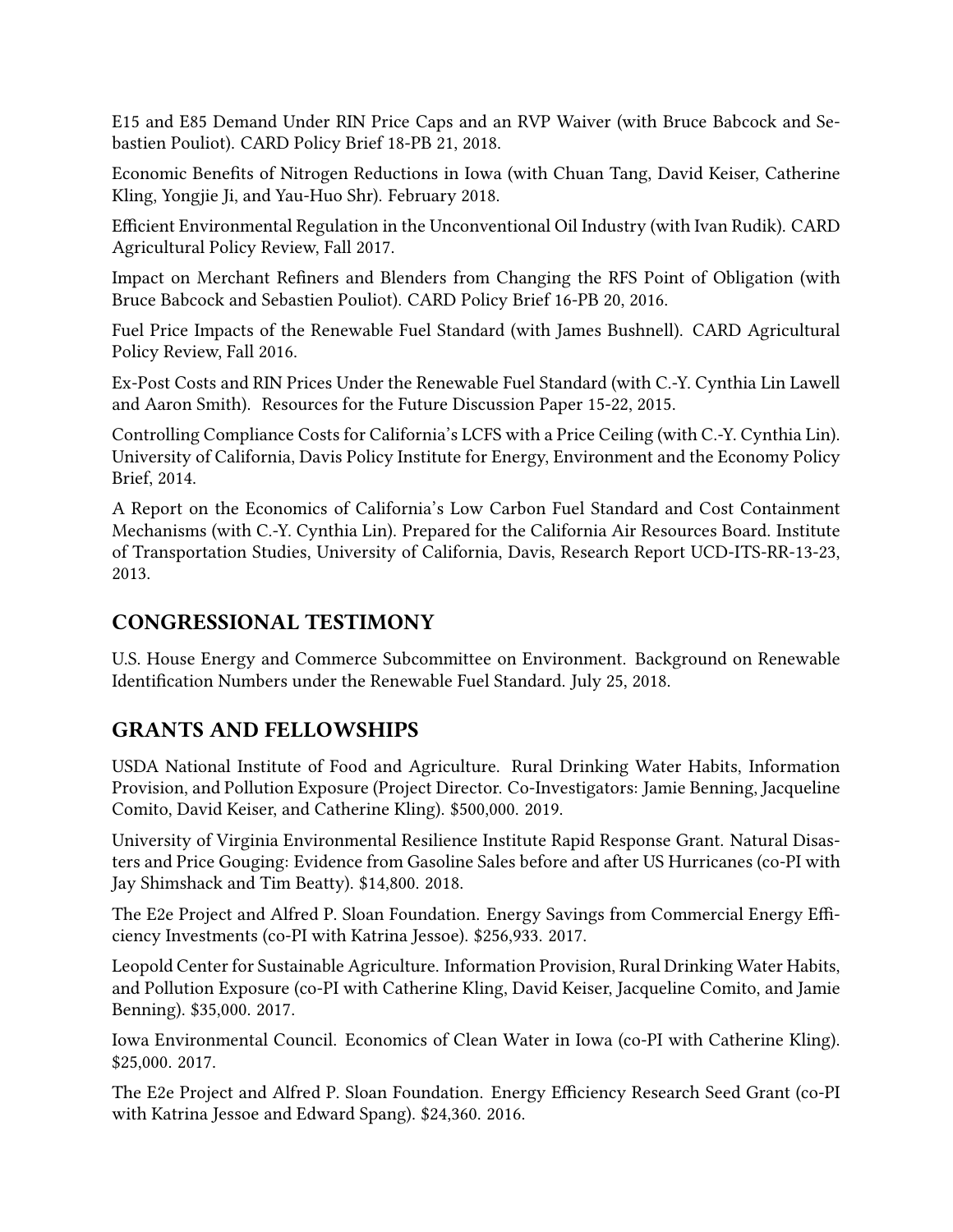E15 and E85 Demand Under RIN Price Caps and an RVP Waiver (with Bruce Babcock and Sebastien Pouliot). CARD Policy Brief 18-PB 21, 2018.

Economic Benefits of Nitrogen Reductions in Iowa (with Chuan Tang, David Keiser, Catherine Kling, Yongjie Ji, and Yau-Huo Shr). February 2018.

Efficient Environmental Regulation in the Unconventional Oil Industry (with Ivan Rudik). CARD Agricultural Policy Review, Fall 2017.

Impact on Merchant Refiners and Blenders from Changing the RFS Point of Obligation (with Bruce Babcock and Sebastien Pouliot). CARD Policy Brief 16-PB 20, 2016.

Fuel Price Impacts of the Renewable Fuel Standard (with James Bushnell). CARD Agricultural Policy Review, Fall 2016.

Ex-Post Costs and RIN Prices Under the Renewable Fuel Standard (with C.-Y. Cynthia Lin Lawell and Aaron Smith). Resources for the Future Discussion Paper 15-22, 2015.

Controlling Compliance Costs for California's LCFS with a Price Ceiling (with C.-Y. Cynthia Lin). University of California, Davis Policy Institute for Energy, Environment and the Economy Policy Brief, 2014.

A Report on the Economics of California's Low Carbon Fuel Standard and Cost Containment Mechanisms (with C.-Y. Cynthia Lin). Prepared for the California Air Resources Board. Institute of Transportation Studies, University of California, Davis, Research Report UCD-ITS-RR-13-23, 2013.

## CONGRESSIONAL TESTIMONY

U.S. House Energy and Commerce Subcommittee on Environment. Background on Renewable Identification Numbers under the Renewable Fuel Standard. July 25, 2018.

# GRANTS AND FELLOWSHIPS

USDA National Institute of Food and Agriculture. Rural Drinking Water Habits, Information Provision, and Pollution Exposure (Project Director. Co-Investigators: Jamie Benning, Jacqueline Comito, David Keiser, and Catherine Kling). \$500,000. 2019.

University of Virginia Environmental Resilience Institute Rapid Response Grant. Natural Disasters and Price Gouging: Evidence from Gasoline Sales before and after US Hurricanes (co-PI with Jay Shimshack and Tim Beatty). \$14,800. 2018.

The E2e Project and Alfred P. Sloan Foundation. Energy Savings from Commercial Energy Efficiency Investments (co-PI with Katrina Jessoe). \$256,933. 2017.

Leopold Center for Sustainable Agriculture. Information Provision, Rural Drinking Water Habits, and Pollution Exposure (co-PI with Catherine Kling, David Keiser, Jacqueline Comito, and Jamie Benning). \$35,000. 2017.

Iowa Environmental Council. Economics of Clean Water in Iowa (co-PI with Catherine Kling). \$25,000. 2017.

The E2e Project and Alfred P. Sloan Foundation. Energy Efficiency Research Seed Grant (co-PI with Katrina Jessoe and Edward Spang). \$24,360. 2016.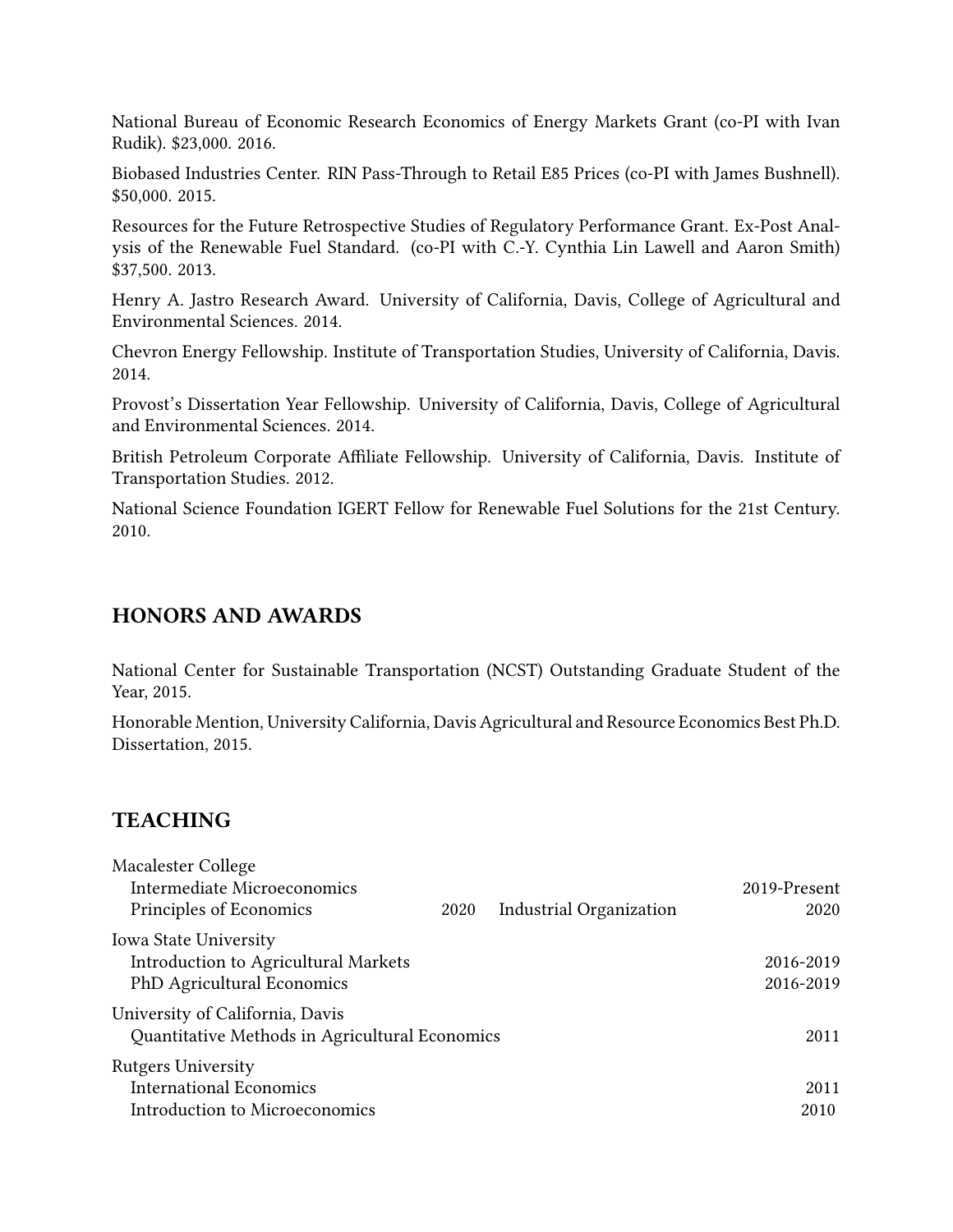National Bureau of Economic Research Economics of Energy Markets Grant (co-PI with Ivan Rudik). \$23,000. 2016.

Biobased Industries Center. RIN Pass-Through to Retail E85 Prices (co-PI with James Bushnell). \$50,000. 2015.

Resources for the Future Retrospective Studies of Regulatory Performance Grant. Ex-Post Analysis of the Renewable Fuel Standard. (co-PI with C.-Y. Cynthia Lin Lawell and Aaron Smith) \$37,500. 2013.

Henry A. Jastro Research Award. University of California, Davis, College of Agricultural and Environmental Sciences. 2014.

Chevron Energy Fellowship. Institute of Transportation Studies, University of California, Davis. 2014.

Provost's Dissertation Year Fellowship. University of California, Davis, College of Agricultural and Environmental Sciences. 2014.

British Petroleum Corporate Affiliate Fellowship. University of California, Davis. Institute of Transportation Studies. 2012.

National Science Foundation IGERT Fellow for Renewable Fuel Solutions for the 21st Century. 2010.

#### HONORS AND AWARDS

National Center for Sustainable Transportation (NCST) Outstanding Graduate Student of the Year, 2015.

Honorable Mention, University California, Davis Agricultural and Resource Economics Best Ph.D. Dissertation, 2015.

# **TEACHING**

| Macalester College<br><b>Intermediate Microeconomics</b><br>Principles of Economics                       | 2020 | Industrial Organization | 2019-Present<br>2020   |
|-----------------------------------------------------------------------------------------------------------|------|-------------------------|------------------------|
| <b>Iowa State University</b><br>Introduction to Agricultural Markets<br><b>PhD Agricultural Economics</b> |      |                         | 2016-2019<br>2016-2019 |
| University of California, Davis<br>Quantitative Methods in Agricultural Economics                         |      |                         | 2011                   |
| <b>Rutgers University</b><br><b>International Economics</b><br>Introduction to Microeconomics             |      |                         | 2011<br>2010           |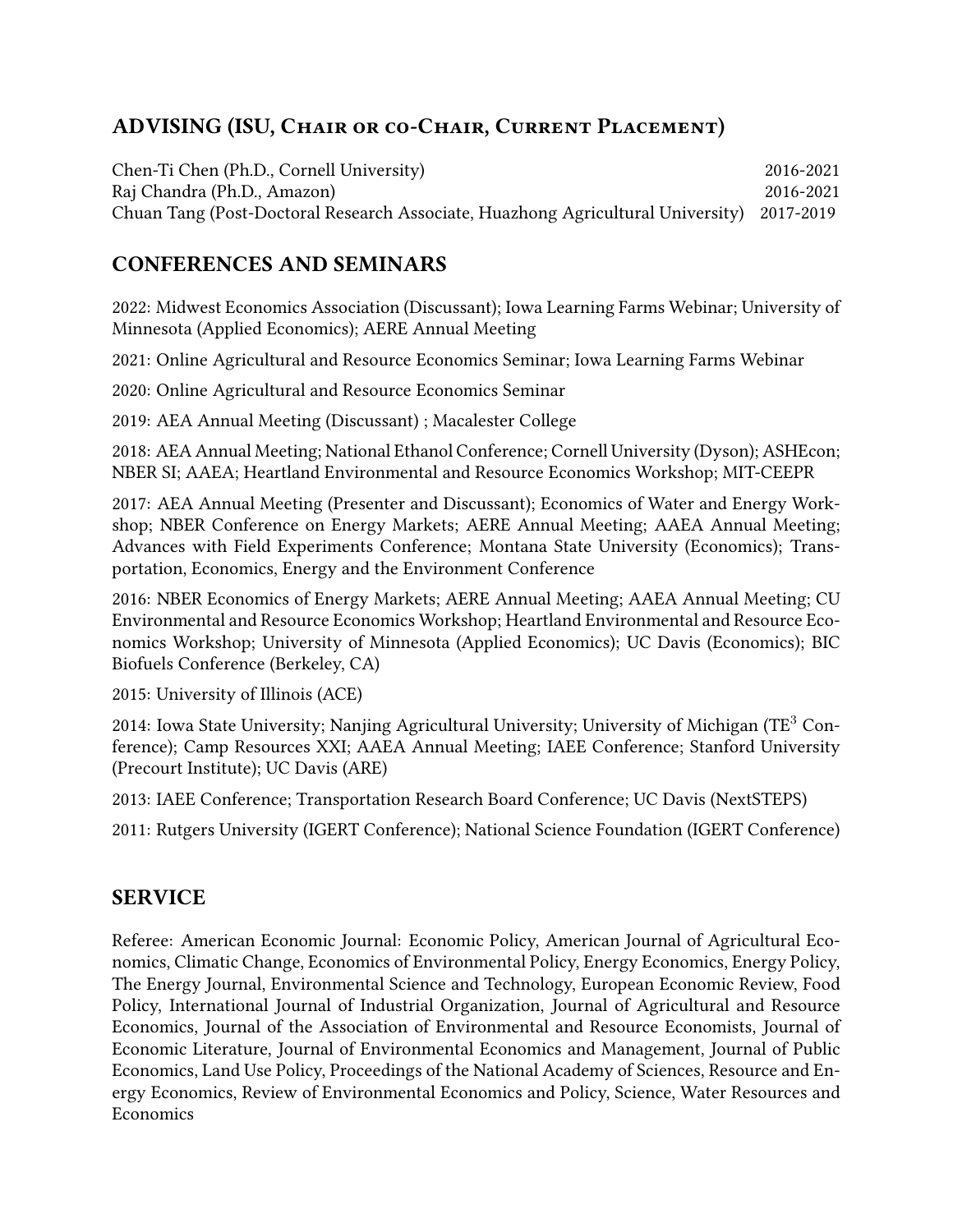# ADVISING (ISU, Chair or co-Chair, Current Placement)

Chen-Ti Chen (Ph.D., Cornell University) 2016-2021 Raj Chandra (Ph.D., Amazon) 2016-2021 Chuan Tang (Post-Doctoral Research Associate, Huazhong Agricultural University) 2017-2019

## CONFERENCES AND SEMINARS

2022: Midwest Economics Association (Discussant); Iowa Learning Farms Webinar; University of Minnesota (Applied Economics); AERE Annual Meeting

2021: Online Agricultural and Resource Economics Seminar; Iowa Learning Farms Webinar

2020: Online Agricultural and Resource Economics Seminar

2019: AEA Annual Meeting (Discussant) ; Macalester College

2018: AEA Annual Meeting; National Ethanol Conference; Cornell University (Dyson); ASHEcon; NBER SI; AAEA; Heartland Environmental and Resource Economics Workshop; MIT-CEEPR

2017: AEA Annual Meeting (Presenter and Discussant); Economics of Water and Energy Workshop; NBER Conference on Energy Markets; AERE Annual Meeting; AAEA Annual Meeting; Advances with Field Experiments Conference; Montana State University (Economics); Transportation, Economics, Energy and the Environment Conference

2016: NBER Economics of Energy Markets; AERE Annual Meeting; AAEA Annual Meeting; CU Environmental and Resource Economics Workshop; Heartland Environmental and Resource Economics Workshop; University of Minnesota (Applied Economics); UC Davis (Economics); BIC Biofuels Conference (Berkeley, CA)

2015: University of Illinois (ACE)

2014: Iowa State University; Nanjing Agricultural University; University of Michigan (TE<sup>3</sup> Conference); Camp Resources XXI; AAEA Annual Meeting; IAEE Conference; Stanford University (Precourt Institute); UC Davis (ARE)

2013: IAEE Conference; Transportation Research Board Conference; UC Davis (NextSTEPS)

2011: Rutgers University (IGERT Conference); National Science Foundation (IGERT Conference)

## SERVICE

Referee: American Economic Journal: Economic Policy, American Journal of Agricultural Economics, Climatic Change, Economics of Environmental Policy, Energy Economics, Energy Policy, The Energy Journal, Environmental Science and Technology, European Economic Review, Food Policy, International Journal of Industrial Organization, Journal of Agricultural and Resource Economics, Journal of the Association of Environmental and Resource Economists, Journal of Economic Literature, Journal of Environmental Economics and Management, Journal of Public Economics, Land Use Policy, Proceedings of the National Academy of Sciences, Resource and Energy Economics, Review of Environmental Economics and Policy, Science, Water Resources and **Economics**